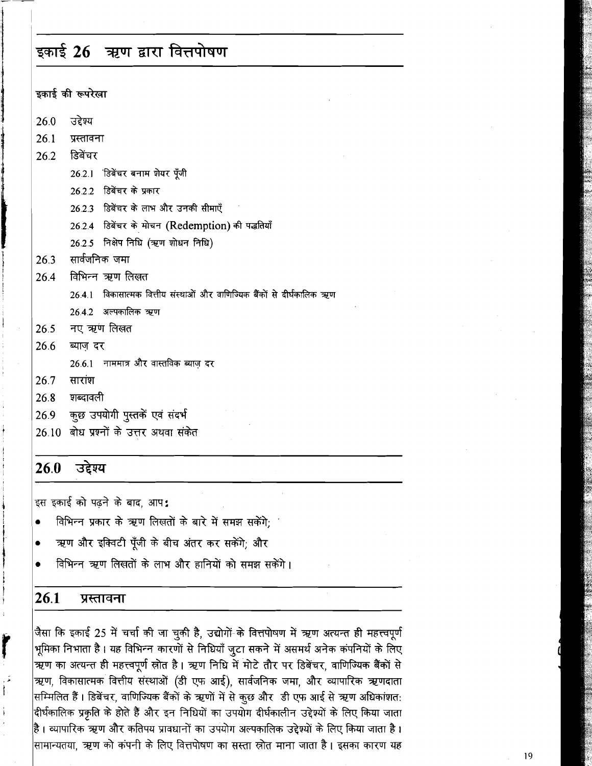# इकाई 26 ऋण द्वारा वित्तपोषण

इकाई की रूपरेखा

- **26.0**  उद्देश्य
- 26.1 प्रस्तावना
- 26.2 **डिबेंचर** 
	- 26.2.1 हिबेंचर बनाम शेयर पुँजी
	- 26.2.2 डिबेंचर के प्रकार
	- 26.2.3 डिबेंचर के लाभ और उनकी सीमाएँ
	- 26.2.4 डिबेंचर के मोचन (Redemption) की पद्धतियाँ
	- 26.2.5 निक्षेप निधि (ऋण शोधन निधि)
- 26.3 सार्वजनिक जमा
- 26.2.4 *डि*बेंचर के मोचन ()<br>26.2.5 निक्षेप निधि (ऋण :<br>26.3 सार्वजनिक जमा<br>26.4 विभिन्न ऋण लिखत<br>26.4 विकासात्मक वित्तीय :
	- 26.4.1 विकासात्मक वित्तीय संस्थाओं और वाणिज्यिक बैंकों से दीर्घकालिक ऋण
	- **26.4.2** 3FFdhT *W*
- 26.5 नए ऋण लिखत
- 26.6 ब्याज दर
	- 26.6.1 नाममात्र और वास्तविक ब्याज़ *दर*<br>सारांश
- **26.7**
- 26.8 **शब्दावली**
- 26.9 कुछ उपयोगी पुस्तकें एवं संदर्भ
- 26.10 बोध प्रश्नों के उत्तर अथवा संकेत

#### 26.0 उद्देश्य

इस इकाई को पढने के बाद, आप:

- विभिन्न प्रकार के ऋण लिखतों के बारे में समझ सकेंगे;  $\bullet$
- ऋण और इक्विटी पूँजी के बीच अंतर कर सकेंगे; और
- विभिन्न ऋण लिखतों के लाभ और हानियों को समझ सकेंगे।

#### 26.1 प्रस्तावना

जैसा कि इकाई 25 में चर्चा की जा चुकी है, उद्योगों के वित्तपोषण में ऋण अत्यन्त ही महत्त्वपूर्ण भूमिका निभाता है। यह विभिन्न कारणों से निधियाँ जूटा सकने में असमर्थ अनेक कंपनियों के लिए ऋण का अत्यन्त ही महत्त्वपूर्ण स्रोत है। ऋण निधि में मोटे तौर पर डिबेंचर, वाणिज्यिक बैंकों से ऋण, विकासात्मक वित्तीय संस्थाओं (डी एफ आई), सार्वजनिक जमा, और व्यापारिक ऋणदाता सम्मिलित हैं। डिबेंचर, वाणिज्यिक बैंकों के ऋणों में से कुछ और डी एफ आई से ऋण अधिकांशत: |दीर्घकालिक प्रकृति के होते हैं और इन निधियों का उपयोग दीर्घकालीन उद्देश्यों के लिए किया जाता है। व्यापारिक ऋण और कतिपय प्रावधानों का उपयोग अल्पकालिक उद्देश्यों के लिए किया जाता है। सामान्यतया. ऋण को कंपनी के लिए वित्तपोषण का सस्ता स्रोत माना जाता है। इसका कारण यह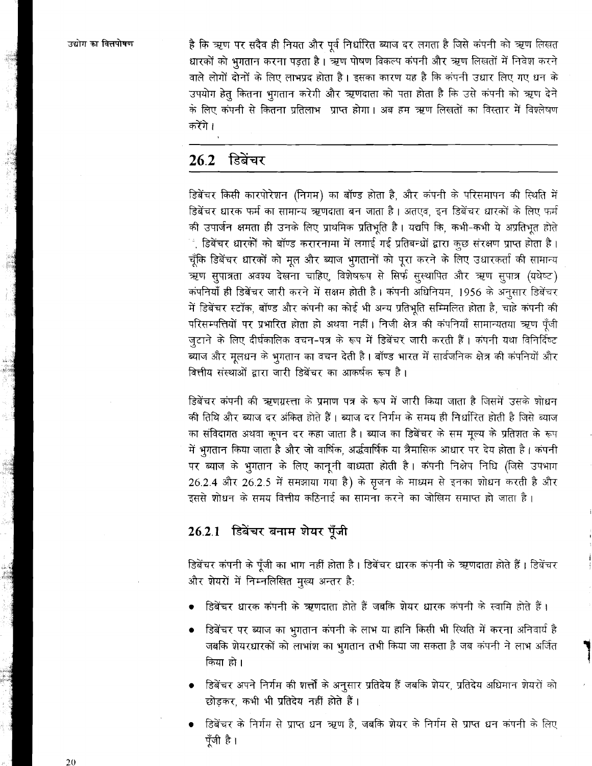उद्योग का वित्तपोषण

<mark>है कि ऋण पर सदैव ही नियत और पूर्व निर्धारित ब्याज दर लगता है जिसे कंपनी को ऋण लिखत</mark> धारकों को भगतान करना पड़ता है। ऋण पोषण विकल्प कंपनी और ऋण लिखतों में निवेश करने वाले लोगों दोनों के लिए लाभप्रद होता है। इसका कारण यह है कि कंपनी उधार लिए गए धन के उपयोग हेतु कितना भगतान करेगी और ऋणदाता को पता होता है कि उसे कंपनी को ऋण देने के लिए कंपनी से कितना प्रतिलाभ प्राप्त होगा। अब हम ऋण लिखतों का विस्तार में विश्लेषण करेंगे।

#### डिबेंचर  $26.2$

डिबेंचर किसी कारपोरेशन (निगम) का बॉण्ड होता है. और कंपनी के परिसमापन की स्थिति में डिबेंचर धारक फर्म का सामान्य ऋणदाता बन जाता है। अतएव. इन डिबेंचर धारकों के लिए फर्म की उपार्जन क्षमता ही उनके लिए प्राथमिक प्रतिभूति है। यद्यपि कि, कभी-कभी ये अप्रतिभूत होते ं, डिबेंचर धारकों को बॉण्ड करारनामा में लगाई गई प्रतिबन्धों द्वारा कुछ संरक्षण प्राप्त होता है। चूँकि डिबेंचर धारकों को मूल और ब्याज भुगतानों को पूरा करने के लिए उधारकर्ता की सामान्य ऋण सुपात्रता अवश्य देखना चाहिए, विशेषरूप से सिर्फ सुस्थापित और ऋण सुपात्र (यथेष्ट) कंपनियाँ ही डिबेंचर जारी करने में सक्षम होती है। कंपनी अधिनियम, 1956 के अनुसार डिबेंचर में डिबेंचर स्टॉक, बॉण्ड और कंपनी का कोई भी अन्य प्रतिभूति सम्मिलित होता है, चाहे कंपनी की परिसम्पत्तियों पर प्रभारित होता हो अथवा नहीं। निजी क्षेत्र की कंपनियाँ सामान्यतया ऋण पूँजी जुटाने के लिए दीर्घकालिक वचन-पत्र के रूप में डिबेंचर जारी करती हैं। कंपनी यथा विनिर्दिष्ट ब्याज और मुलधन के भुगतान का वचन देती है। बॉण्ड भारत में सार्वजनिक क्षेत्र की कंपनियों और वित्तीय संस्थाओं द्वारा जारी डिबेंचर का आकर्षक रूप है।

डिबेंचर कंपनी की ऋणग्रस्ता के प्रमाण पत्र के रूप में जारी किया जाता है जिसमें उसके शोधन की तिथि और ब्याज दर अंकित होते हैं। ब्याज दर निर्गम के समय ही निर्धारित होती है जिसे ब्याज का संविदागत अथवा कूपन दर कहा जाता है। ब्याज का डिबेंचर के सम मूल्य के प्रतिशत के रूप में भुगतान किया जाता है और जो वार्षिक, अर्द्धवार्षिक या त्रैमासिक आधार पर देय होता है। कंपनी पर ब्याज के भुगतान के लिए कानूनी बाध्यता होती है। कंपनी निक्षेप निधि (जिसे उपभाग 26.2.4 और 26.2.5 में समझाया गया है) के सृजन के माध्यम से इनका शोधन करती है और इससे शोधन के समय वित्तीय कठिनाई का सामना करने का जोखिम समाप्त हो जाता है।

## 26.2.1 डिबेंचर बनाम शेयर पूँजी

डिबेंचर कंपनी के पूँजी का भाग नहीं होता है। डिबेंचर धारक कंपनी के ऋणदाता होते हैं। डिबेंचर और शेयरों में निम्नलिखित मुख्य अन्तर है:

- डिबेंचर धारक कंपनी के ऋणदाता होते हैं जबकि शेयर धारक कंपनी के स्वामि होते हैं।
- डिबेंचर पर ब्याज का भुगतान कंपनी के लाभ या हानि किसी भी स्थिति में करना अनिवार्य है जबकि शेयरधारकों को लाभांश का भूगतान तभी किया जा सकता है जब कंपनी ने लाभ अर्जित किया हो।
- डि़बेंचर अपने निर्गम की शर्त्तों के अनुसार प्रतिदेय हैं जबकि शेयर, प्रतिदेय अधिमान शेयरों को छोडकर, कभी भी प्रतिदेय नहीं होते हैं।
- डिबेंचर के निर्गम से प्राप्त धन ऋण है, जबकि शेयर के निर्गम से प्राप्त धन कंपनी के लिए पूँजी है।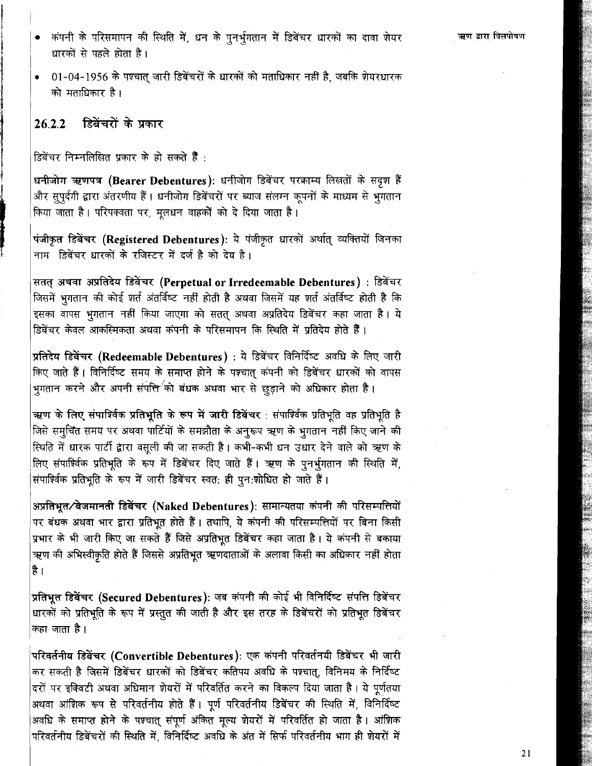- कंपनी के परिसमापन की स्थिति में. धन के पनर्भगतान में डिबेंचर धारकों का दावा शेयर धारकों से पहले होता है।
- 01-04-1956 के पश्चात जारी डिबेंचरों के धारकों को मताधिकार नहीं है. जबकि शेयरधारक को मताधिकार है।

#### डिबेंचरों के प्रकार  $26.2.2$

डिबेंचर निम्नलिखित प्रकार के हो सकते हैं<sup>.</sup>

धनीजोग ऋणपत्र (Bearer Debentures): धनीजोग डिबेंचर परक्राम्य लिखतों के सदृश हैं और सुपुर्दगी द्वारा अंतरणीय हैं। धनीजोग डिबेंचरों पर ब्याज संलग्न कूपनों के माध्यम से भूगतान किया जाता है। परिपक्वता पर, मूलधन वाहकों को दे दिया जाता है।

पंजीकृत डिबेंचर (Registered Debentures): ये पंजीकृत धारकों अर्थात् व्यक्तियों जिनका नाम डिबेंचर धारकों के रजिस्टर में दर्ज है को देय है।

सतत् अथवा अप्रतिदेय डिबेंचर (Perpetual or Irredeemable Debentures) : डिबेंचर जिसमें भुगतान की कोई शर्त अंतर्विष्ट नहीं होती है अथवा जिसमें यह शर्त अंतर्विष्ट होती है कि इसका वापस भूगतान नहीं किया जाएगा को सतत् अथवा अप्रतिदेय डिबेंचर कहा जाता है। ये डिबेंचर केवल आकस्मिकता अथवा कंपनी के परिसमापन कि स्थिति में प्रतिदेय होते हैं।

प्रतिदेय डिबेंचर (Redeemable Debentures) : ये डिबेंचर विनिर्दिष्ट अवधि के लिए जारी किए जाते हैं। विनिर्दिष्ट समय के समाप्त होने के पश्चात् कंपनी को डिबेंचर धारकों को वापस भुगतान करने और अपनी संपत्ति<sup>⁄</sup>को बंधक अथवा भार से छुड़ाने को अधिकार होता है।

ऋण के लिए संपार्श्विक प्रतिभूति के रूप में जारी डिबेंचर : संपार्श्विक प्रतिभूति वह प्रतिभूति है जिसे समूचित समय पर अथवा पार्टियों के समझौता के अनुरूप ऋण के भुगतान नहीं किए जाने की स्थिति में धारक पार्टी द्वारा वसुली की जा सकती है। कभी-कभी धन उधार देने वाले को ऋण के लिए संपार्श्विक प्रतिभूति के रूप में डिबेंचर दिए जाते हैं। ऋण के पुनर्भुगतान की स्थिति में संपार्श्विक प्रतिभूति के रूप में जारी डिबेंचर स्वत: ही पुन:शोधित हो जाते हैं।

अप्रतिभूत्र बेजमानती डिबेंचर (Naked Debentures): सामान्यतया कंपनी की परिसम्पत्तियों पर बंधक अथवा भार द्वारा प्रतिभूत होते हैं। तथापि, ये कंपनी की परिसम्पत्तियों पर बिना किसी प्रभार के भी जारी किए जा सकते हैं जिसे अप्रतिभुत डिबेंचर कहा जाता है। ये कंपनी से बकाया ऋण की अभिस्वीकृति होते हैं जिससे अप्रतिभूत ऋणदाताओं के अलावा किसी का अधिकार नहीं होता है ।

प्रतिभूत डिबेंचर (Secured Debentures): जब कंपनी की कोई भी विनिर्दिष्ट संपत्ति डिबेंचर धारकों को प्रतिभूति के रूप में प्रस्तुत की जाती है और इस तरह के डिबेंचरों को प्रतिभूत डिबेंचर कहा जाता है।

परिवर्तनीय डिबेंचर (Convertible Debentures): एक कंपनी परिवर्तनयी डिबेंचर भी जारी कर सकती है जिसमें डिबेंचर धारकों को डिबेंचर कतिपय अवधि के पश्चात्, विनिमय के निर्दिष्ट दरों पर इक्विटी अथवा अधिमान शेयरों में परिवर्तित करने का विकल्प दिया जाता है। ये पुर्णतया अथवा आंशिक रूप से परिवर्तनीय होते हैं। पूर्ण परिवर्तनीय डिबेंचर की स्थिति में, विनिर्दिष्ट अवधि के समाप्त होने के पश्चात् संपूर्ण अंकित मूल्य शेयरों में परिवर्तित हो जाता है। आंशिक परिवर्तनीय डिबेंचरों की स्थिति में. विनिर्दिष्ट अवधि के अंत में सिर्फ परिवर्तनीय भाग ही शेयरों में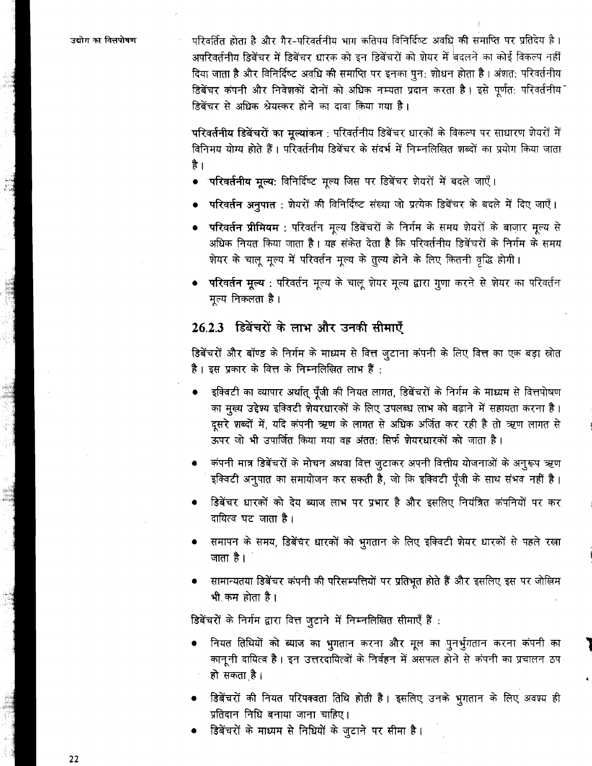उद्योग का विलपोषण

परिवर्तित होता है और गैर-परिवर्तनीय भाग कतिपय विनिर्दिष्ट अवधि की समाप्ति पर प्रतिदेय है। अपरिवर्तनीय डिबेंचर में डिबेंचर धारक को इन डिबेंचरों को शेयर में बदलने का कोई विकल्प नहीं दिया जाता है और विनिर्दिष्ट अवधि की समाप्ति पर इनका पून: शोधन होता है। अंशत: परिवर्तनीय डिबेंचर कंपनी और निवेशकों दोनों को अधिक नम्यता प्रदान करता है। इसे पूर्णत: परिवर्तनीय डिबेंचर से अधिक श्रेयस्कर होने का दावा किया गया है।

परिवर्तनीय डिबेंचरों का मुल्यांकन : परिवर्तनीय डिबेंचर धारकों के विकल्प पर साधारण शेयरों में विनिमय योग्य होते हैं। परिवर्तनीय डिबेंचर के संदर्भ में निम्नलिखित शब्दों का प्रयोग किया जाता है ।

- ं<mark>परिवर्तनीय मृल्य</mark>: विनिर्दिष्ट मृल्य जिस पर डिबेंचर शेयरों में बदले जाएँ।
- परिवर्तन अनुपात : शेयरों की विनिर्दिष्ट संख्या जो प्रत्येक डिबेंचर के बदले में दिए जाएँ।
- परिवर्तन प्रीमियम : परिवर्तन मृत्य डिबेंचरों के निर्गम के समय शेयरों के बाजार मृत्य से अधिक नियत किया जाता है। यह संकेत देता है कि परिवर्तनीय डिबेंचरों के निर्गम के समय शेयर के चालू मूल्य में परिवर्तन मूल्य के तुल्य होने के लिए कितनी वृद्धि होगी।
- **परिवर्तन मृल्य** : परिवर्तन मूल्य के चालू शेयर मूल्य द्वारा गूणा करने से शेयर का परिवर्तन मुल्य निकलता है।

## 26.2.3 डिबेंचरों के लाभ और उनकी सीमाएँ

डिबेंचरों और बॉण्ड के निर्गम के माध्यम से वित्त जुटाना कंपनी के लिए वित्त का एक बड़ा स्रोत .<br>है। इस प्रकार के वित्त के निम्नलिखित लाभ हैं :

- इक्विटी का व्यापार अर्थात् पूँजी की नियत लागत, डिबेंचरों के निर्गम के माध्यम से वित्तपोषण का मुख्य उद्देश्य इक्विटी शेयरधारकों के लिए उपलब्ध लाभ को बढ़ाने में सहायता करना है। दूसरे शब्दों में, यदि कंपनी ऋण के लागत से अधिक अर्जित कर रही है तो ऋण लागत से ऊपर जो भी उपार्जित किया गया वह अंतत: सिर्फ शेयरधारकों को जाता है।
- कंपनी मात्र डिबेंचरों के मोचन अथवा वित्त जुटाकर अपनी वित्तीय योजनाओं के अनुरूप ऋण इक्विटी अनुपात का समायोजन कर सकती है, जो कि इक्विटी पूँजी के साथ संभव नहीं है।
- डिबेंचर धारकों को देय ब्याज लाभ पर प्रभार है और इसलिए नियंत्रित कंपनियों पर कर दायित्व घट जाता है।
- समापन के समय, डिबेंचर धारकों को भुगतान के लिए इक्विटी शेयर धारकों से पहले रखा जाता है।
- सामान्यतया डिबेंचर कंपनी की परिसम्पत्तियों पर प्रतिभूत होते हैं और इसलिए इस पर जोखिम भी कम होता है।

डिबेंचरों के निर्गम द्वारा वित्त जुटाने में निम्नलिखित सीमाएँ हैं :

- नियत तिथियों को ब्याज का भुगतान करना और मूल का पुनर्भुगतान करना कंपनी का कानूनी दायित्व है। इन उत्तरदायित्वों के निर्वहन में असफल होने से कंपनी का प्रचालन ठप हो सकता है।
- डिबेंचरों की नियत परिपक्वता तिथि होती है। इसलिए उनके भुगतान के लिए अवश्य ही प्रतिदान निधि बनाया जाना चाहिए।
- डिबेंचरों के माध्यम से निधियों के जुटाने पर सीमा है।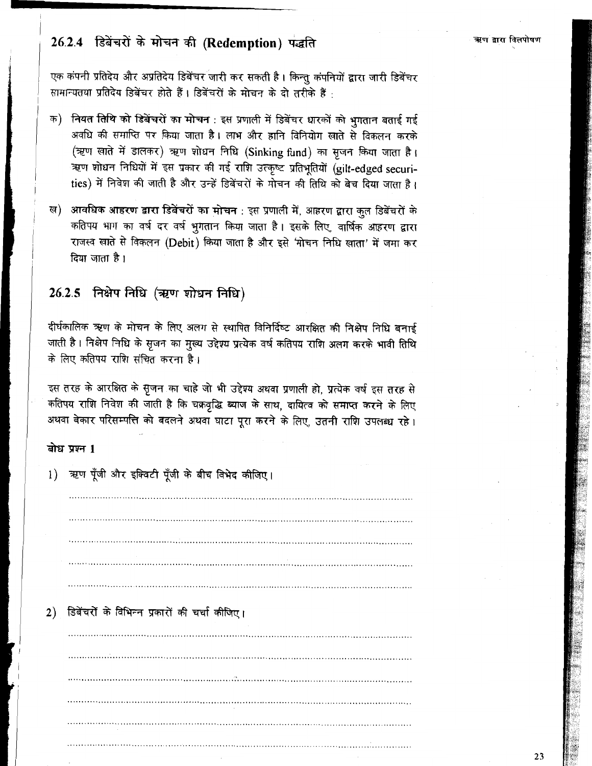# 26.2.4 डिबेंचरों के मोचन की (Redemption) पद्धति

एक कंपनी प्रतिदेय और अप्रतिदेय डिबेंचर जारी कर सकती है। किन्तु कंपनियों द्वारा जारी डिबेंचर सामान्यतया प्रतिदेय डिबेंचर होते हैं। डिबेंचरों के मोचन के दो तरीके हैं<sup>.</sup>

- क) नियत तिथि को डिबेंचरों का मोचन : इस प्रणाली में डिबेंचर धारकों को भगतान बताई गई अवधि की समाप्ति पर किया जाता है। लाभ और हानि विनियोग खाते से विकलन करके (ऋण खाते में डालकर) ऋण शोधन निधि (Sinking fund) का सूजन किया जाता है। ऋण शोधन निधियों में इस प्रकार की गई राशि उत्कृष्ट प्रतिभूतियों (gilt-edged securities) में निवेश की जाती है और उन्हें डिबेंचरों के मोचन की तिथि को बेच दिया जाता है।
- ख) आवधिक आहरण द्वारा डिबेंचरों का मोचन : इस प्रणाली में, आहरण द्वारा कुल डिबेंचरों के कतिपय भाग का वर्ष दर वर्ष भुगतान किया जाता है। इसके लिए, वार्षिक आहरण द्वारा राजस्व खाते से विकलन (Debit) किया जाता है और इसे 'मोचन निधि खाता' में जमा कर दिया जाता है।

# 26.2.5 निक्षेप निधि (ऋण शोधन निधि)

दीर्घकालिक ऋण के मोचन के लिए अलग से स्थापित विनिर्दिष्ट आरक्षित की निक्षेप निधि बनाई जाती है। निक्षेप निधि के सृजन का मुख्य उद्देश्य प्रत्येक वर्ष कतिपय राशि अलग करके भावी तिथि के लिए कतिपय राशि संचित करना है।

इस तरह के आरक्षित के सृजन का चाहे जो भी उद्देश्य अथवा प्रणाली हो, प्रत्येक वर्ष इस तरह से कतिपय राशि निवेश की जाती है कि चक्रवृद्धि ब्याज के साथ, दायित्व को समाप्त करने के लिए अथवा बेकार परिसम्पत्ति को बदलने अथवा घाटा पुरा करने के लिए. उतनी राशि उपलब्ध रहे।

### बोध प्रश्न 1

1) ऋण पूँजी और इक्विटी पूँजी के बीच विभेद कीजिए।

2) डिबेंचरों के विभिन्न प्रकारों की चर्चा कीजिए।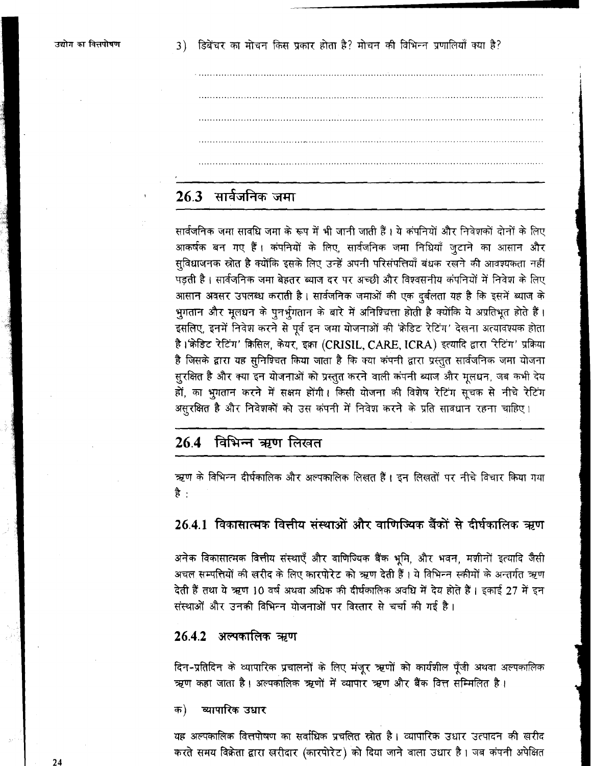# 26.3 सार्वजनिक जमा

सार्वजनिक जमा सावधि जमा के रूप में भी जानी जाती हैं। ये कंपनियों और निवेशकों दोनों के लिए आकर्षक बन गए हैं। कंपनियों के लिए, सार्वजनिक जमा निधियाँ जटाने का आसान और सुविधाजनक स्रोत है क्योंकि इसके लिए उन्हें अपनी परिसंपत्तियाँ बंधक रखने की आवश्यकता नहीं पड़ती है। सार्वजनिक जमा बेहतर ब्याज दर पर अच्छी और विश्वसनीय कंपनियों में निवेश के लिए आसान अवसर उपलब्ध कराती है। सार्वजनिक जमाओं की एक दुर्बलता यह है कि इसमें ब्याज के भुगतान और मुलधन के पुनर्भुगतान के बारे में अनिश्चित्ता होती है क्योंकि ये अप्रतिभूत होते हैं। इसलिए, इनमें निवेश करने से पूर्व इन जमा योजनाओं की 'क्रेडिट रेटिंग' देखना अत्यावश्यक होता है।'क्रेडिट रेटिंग' क्रिसिल, केयर, इक़ा (CRISIL, CARE, ICRA) इत्यादि द्वारा रिटिंग' प्रक्रिया है जिसके द्वारा यह सुनिश्चित किया जाता है कि क्या कंपनी द्वारा प्रस्तुत सार्वजनिक जमा योजना सुरक्षित है और क्या इन योजनाओं को प्रस्तुत करने वाली कंपनी ब्याज और मूलधन, जब कभी देय हों, का भूगतान करने में सक्षम होंगी। किसी योजना की विशेष रेटिंग सूचक से नीचे रेटिंग असूरक्षित है और निवेशकों को उस कंपनी में निवेश करने के प्रति सावधान रहना चाहिए।

# 26.4 विभिन्न ऋण लिखत

ऋण के विभिन्न दीर्घकालिक और अल्पकालिक लिखत हैं। इन लिखतों पर नीचे विचार किया गया है $\cdot$ 

## 26.4.1 विकासात्मक वित्तीय संस्थाओं और वाणिज्यिक बैंकों से दीर्घकालिक ऋण

अनेक विकासात्मक वित्तीय संस्थाएँ और वाणिज्यिक बैंक भूमि, और भवन, मशीनों इत्यादि जैसी अचल सम्पत्तियों की खरीद के लिए कारपोरेट को ऋण देती हैं। ये विभिन्न स्कीमों के अन्तर्गत ऋण देती हैं तथा ये ऋण 10 वर्ष अथवा अधिक की दीर्घकालिक अवधि में देय होते हैं। इकाई 27 में इन संस्थाओं और उनकी विभिन्न योजनाओं पर विस्तार से चर्चा की गई है।

### 26.4.2 अल्पकालिक ऋण

दिन-प्रतिदिन के व्यापारिक प्रचालनों के लिए मंजूर ऋणों को कार्यशील पूँजी अथवा अल्पकालिक ऋण कहा जाता है। अल्पकालिक ऋणों में व्यापार ऋण और बैंक वित्त सम्मिलित है।

#### व्यापारिक उधार क)

यह अल्पकालिक वित्तपोषण का सर्वाधिक प्रचलित स्रोत है। व्यापारिक उधार उत्पादन की खरीद करते समय विक्रेता द्वारा खरीदार (कारपोरेट) को दिया जाने वाला उधार है। जब कंपनी अपेक्षित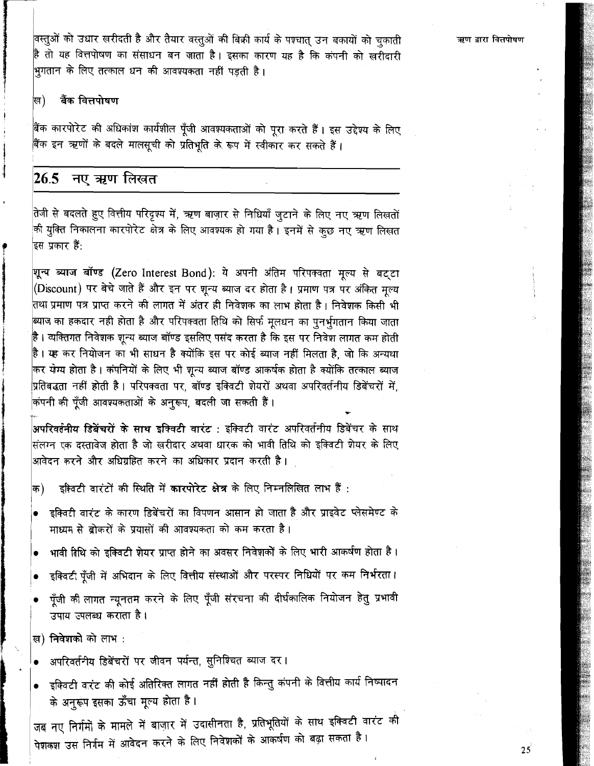वस्तुओं को उधार खरीदती है और तैयार वस्तुओं की बिक्री कार्य के पश्चात् उन बकायों को चुकाती है तो यह वित्तपोषण का संसाधन बन जाता है। इसका कारण यह है कि कंपनी को खरीदारी भूगतान के लिए तत्काल धन की आवश्यकता नहीं पड़ती है।

#### बैंक वित्तपोषण ख)

बैंक कारपोरेट की अधिकांश कार्यशील पूँजी आवश्यकताओं को पूरा करते हैं। इस उद्देश्य के लिए बैंक इन ऋणों के बदले मालसूची को प्रतिभूति के रूप में स्वीकार कर सकते हैं।

#### 26.5 नए ऋण लिखत

तेजी से बदलते हुए वित्तीय परिदृश्य में, ऋण बाज़ार से निधियाँ जुटाने के लिए नए ऋण लिखतों की युक्ति निकालना कारपोरेट क्षेत्र के लिए आवश्यक हो गया है। इनमें से कुछ नए ऋण लिखत इस प्रकार हैं:

शून्य ब्याज बॉण्ड (Zero Interest Bond): ये अपनी अंतिम परिपक्वता मूल्य से बट्टा (Discount) पर बेचे जाते हैं और इन पर शून्य ब्याज दर होता है। प्रमाण पत्र पर अंकित मूल्य तथा प्रमाण पत्र प्राप्त करने की लागत में अंतर ही निवेशक का लाभ होता है। निवेशक किसी भी ब्याज का हकदार नही होता है और परिपक्वता तिथि को सिर्फ मूलधन का पुनर्भुगतान किया जाता है । व्यक्तिगत निवेशक शून्य ब्याज बॉण्ड इसलिए पसंद करता है कि इस पर निवेश लागत कम होती |<br>है। यह कर नियोजन का भी साधन है क्योंकि इस पर कोई ब्याज नहीं मिलता है, जो कि अन्यथा कर येग्य होता है। कंपनियों के लिए भी शून्य ब्याज बॉण्ड आकर्षक होता है क्योंकि तत्काल ब्याज प्रतिबद्धता नहीं होती है । परिपक्वता पर, बॉण्ड इक्विटी शेयरों अथवा अपरिवर्तनीय डिबेंचरों में. कंपनी की पूँजी आवश्यकताओं के अनुरूप, बदली जा सकती हैं।

.<br><mark>अपरिवर्तनीय डिबेंचरों के साथ इक्विटी वारंट</mark> : इक्विटी वारंट अपरिवर्तनीय डिबेंचर के साथ .<br>संलग्न एक दस्तावेज होता है जो खरीदार अथवा धारक को भावी तिथि को इक्विटी शेयर के लिए आवेदन करने और अधिग्रहित करने का अधिकार प्रदान करती है।

- इक्विटी वारंटों की स्थिति में कारपोरेट क्षेत्र के लिए निम्नलिखित लाभ हैं : क)
- इक्विटी वारंट के कारण डिबेंचरों का विपणन आसान हो जाता है और प्राइवेट प्लेसमेण्ट के माध्यम से ब्रोकरों के प्रयासों की आवश्यकता को कम करता है।
- भावी तिथि को इक्विटी शेयर प्राप्त होने का अवसर निवेशकों के लिए भारी आकर्षण होता है।
- इक्विटी पूँजी में अभिदान के लिए वित्तीय संस्थाओं और परस्पर निधियों पर कम निर्भरता।
- पूँजी की लागत न्यूनतम करने के लिए पूँजी संरचना की दीर्घकालिक नियोजन हेतु प्रभावी उपाय उपलब्ध कराता है।

ख) निवेशको को लाभ :

- अपरिवर्तनीय डिबेंचरों पर जीवन पर्यन्त, सुनिश्चित ब्याज दर।
- इक्विटी वारंट की कोई अतिरिक्त लागत नहीं होती है किन्तु कंपनी के वित्तीय कार्य निष्पादन के अनुरूप इसका ऊँचा मूल्य होता है।

जब नए निर्गमों के मामले में बाज़ार में उदासीनता है, प्रतिभूतियों के साथ इक्विटी वारंट की पेशकश उस निर्गम में आवेदन करने के लिए निवेशकों के आकर्षण को बढ़ा सकता है।

ऋण द्वारा वित्तपोषण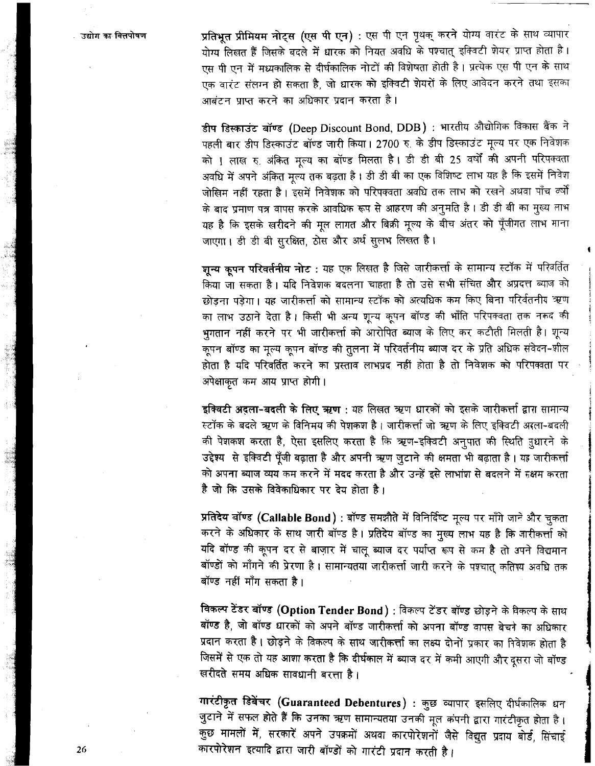उद्योग का वित्तपोषण

प्रतिभूत प्रीमियम नोट्स (एस पी एन) : एस पी एन पृथक् करने योग्य वारंट के साथ व्यापार एस पी एन में मध्यकालिक से दीर्घकालिक नोटों की विशेषता होती है। प्रत्येक एस पी एन के साथ एक वारंट संलग्न हो सकता है, जो धारक को इक्विटी शेयरों के लिए आवेदन करने तथा इसका

आबंटन प्राप्त करने का अधिकार प्रदान करता है।<br>**डीप डिस्काउंट बॉण्ड (Deep Discount Bond, DDB) : भारतीय औद्योगिक विकास बैंक ने** पहली बार डीप डिस्काउंट बॉण्ड जारी किया। 2700 रु. के डीप डिस्काउंट मूल्य पर एक निवेशक को ! लाख रु. अंकित मूल्य का बॉण्ड मिलता है। डी डी बी 25 वर्षों की अपनी परिपक्वता .<br>अवधि में अपने अंकित मूल्य तक बढ़ता है। डी डी बी का एक विशिष्ट लाभ यह है कि इसमें निवेश जोखिम नहीं रहता है। इसमें निवेशक को परिपक्वता अवधि तक लाभ को रखने अथवा पाँच व्षों के बाद प्रमाण पत्र वापस करके आवधिक रूप से आहरण की अनुमति है। डी डी बी का मुख्य लाभ यह है कि इसके खरीदने की मूल लागत और बिक्री मूल्य के बीच अंतर को पूँजीगत लाभ माना जाएगा। डी डी बी सुरक्षित, ठोस और अर्थ सूलभ लिखत है।

शुन्य कुपन परिवर्तनीय नोट: यह एक लिखत है जिसे जारीकर्त्ता के सामान्य स्टॉक में परिवर्तित ्.<br>किया जा सकता है। यदि निवेशक बदलना चाहता है तो उसे सभी संचित और अप्रदत्त ब्याज को छोड़ना पड़ेगा। यह जारीकर्त्ता को सामान्य स्टॉक को अत्यधिक कम किए बिना परिर्वतनीय ऋण का लाभ उठाने देता है। किसी भी अन्य शून्य कृपन बॉण्ड की भाँति परिपक्वता तक नकद की भगतान नहीं करने पर भी जारीकर्त्ता को आरोपित ब्याज के लिए कर कटौती मिलती है। शून्य होता है यदि परिवर्तित करने का प्रस्ताव लाभप्रद नहीं होता है तो निवेशक को परिपक्वता पर अपेक्षाकृत कम आय प्राप्त होगी।

इक्विटी अदला-बदली के लिए ऋण : यह लिखत ऋण धारकों को इसके जारीकर्त्ता द्वारा सामान्य स्टॉक के बदले ऋण के विनिमय की पेशकश है। जारीकर्त्ता जो ऋण के लिए इक्विटी अरला-बदली की पेशकश करता है, ऐसा इसलिए करता है कि ऋण-इक्विटी अनुपात की स्थिति नुधारने के उद्देश्य से इक्विटी पूँजी बढ़ाता है और अपनी ऋण जुटाने की क्षमता भी बढ़ाता है। यह जारीकर्त्ता को अपना ब्याज व्यय कम करने में मदद करता है और उन्हें इसे लाभांश से बदलने में सक्षम करता<br>है जो कि उसके विवेकाधिकार पर देय होता है ।<br>**प्रतिदेय बॉण्ड (Callable Bond)** : बॉण्ड समझौते में विनिर्दिष्ट मूल्य पर माँगे जाने और चुक

करने के अधिकार के साथ जारी बॉण्ड है। प्रतिदेय बॉण्ड का मुख्य लाभ यह है कि जारीकर्त्ता को यदि बॉण्ड की कृपन दर से बाज़ार में चालू ब्याज दर पर्याप्त रूप से कम है तो अपने विद्यमान बॉण्डों को माँगने की प्रेरणा है। सामान्यतया जारीकर्त्ता जारी करने के पश्चात् कतिगय अवधि तक बॉण्ड नहीं माँग सकता है।

**विकल्प टेंडर बॉण्ड (Option Tender Bond) : विकल्प टेंडर बॉण्ड छोड़ने के विकल्प के साथ** बॉण्ड है, जो बॉण्ड धारकों को अपने बॉण्ड जारीकर्त्ता को अपना बॉण्ड वापस बेचने का अधिकार प्रदान करता है। छोड़ने के विकल्प के साथ जारीकर्त्ता का लक्ष्य दोनों प्रकार का निवेशक होता है जिसमें से एक तो यह आशा करता है कि दीर्घकाल में ब्याज दर में कमी आएगी और दुसरा जो बॉण्ड **खरीदते समय अधिक सावधानी बर**त्ता है।

 $\overline{\textbf{u}}$   $\overline{\textbf{v}}$  $\overline{\textbf{v}}$  $\overline{\textbf{v}}$  $\overline{\textbf{v}}$  $\overline{\textbf{v}}$  $\overline{\textbf{v}}$  $\overline{\textbf{v}}$  $\overline{\textbf{v}}$  $\overline{\textbf{v}}$  $\overline{\textbf{v}}$  $\overline{\textbf{v}}$  $\overline{\textbf{v}}$  $\overline{\textbf{v}}$  $\overline{\textbf{v}}$  $\overline{\textbf{v}}$  $\overline{\textbf{v}}$  $\overline{\textbf{v}}$  **\overline** जुटाने में सफल <mark>होते हैं कि उनका ऋ</mark>ण सामान्यतया उनकी मूल कंपनी द्वारा गारंटीकृत होता है। कुछ मामलों में, सरकारें अपने उपक्रमों अथवा कारपोरेशनों जैसे विद्युत प्रदाय बोर्ड, सिंचाई <sup>कारपोरेशन इत्यादि द्वारा जारी बॉण्डों को गारंटी प्रदान करती है।</sup>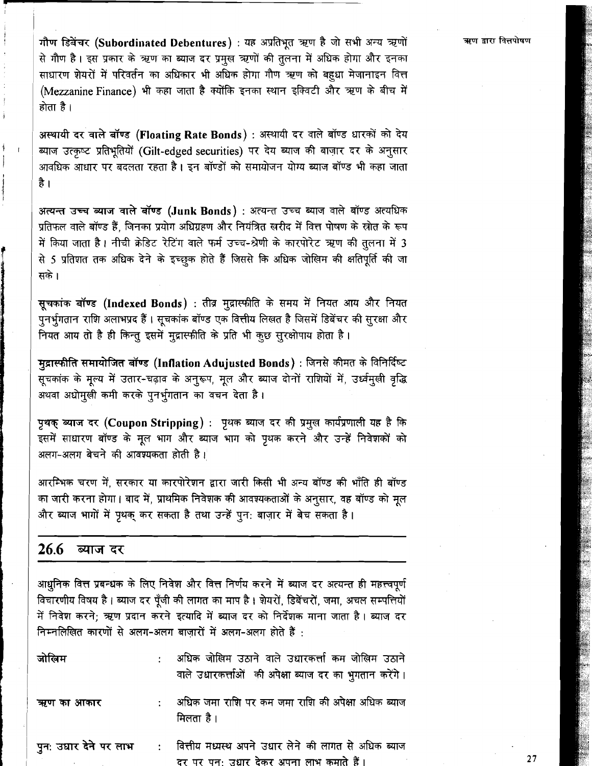गौण डिबेंचर (Subordinated Debentures) : यह अप्रतिभूत ऋण है जो सभी अन्य ऋणों से गौण है। इस प्रकार के ऋण का ब्याज दर प्रमुख ऋणों की तुलना में अधिक होगा और इनका साधारण शेयरों में परिवर्तन का अधिकार भी अधिक होगा गौण ऋण को बहुधा मेजानाइन वित्त (Mezzanine Finance) भी कहा जाता है क्योंकि इनका स्थान इक्विटी और ऋण के बीच में होता है।

अस्थायी दर वाले बॉण्ड (Floating Rate Bonds) : अस्थायी दर वाले बॉण्ड धारकों को देय ब्याज उत्कृष्ट प्रतिभूतियों (Gilt-edged securities) पर देय ब्याज की बाज़ार दर के अनुसार आवधिक आधार पर बदलता रहता है। इन बॉण्डों को समायोजन योग्य ब्याज बॉण्ड भी कहा जाता है ।

अत्यन्त उच्च ब्याज वाले बॉण्ड (Junk Bonds) : अत्यन्त उच्च ब्याज वाले बॉण्ड अत्यधिक प्रतिफल वाले बॉण्ड हैं. जिनका प्रयोग अधिग्रहण और नियंत्रित खरीद में वित्त पोषण के स्रोत के रूप में किया जाता है। नीची क्रेडिट रेटिंग वाले फर्म उच्च-श्रेणी के कारपोरेट ऋण की तुलना में 3 से 5 प्रतिशत तक अधिक देने के इच्छुक होते हैं जिससे कि अधिक जोखिम की क्षतिपूर्ति की जा सके।

सूचकांक बॉण्ड (Indexed Bonds) : तीव्र मुद्रास्फीति के समय में नियत आय और नियत पनर्भगतान राशि अलाभप्रद हैं। सूचकांक बॉण्ड एक वित्तीय लिखत है जिसमें डिबेंचर की सुरक्षा और नियत आय तो है ही किन्तु इसमें मुद्रास्फीति के प्रति भी कुछ सुरक्षोपाय होता है।

मुद्रास्फीति समायोजित बॉण्ड (Inflation Adujusted Bonds) : जिनसे कीमत के विनिर्दिष्ट सूचकांक के मूल्य में उतार-चढ़ाव के अनुरूप, मूल और ब्याज दोनों राशियों में, उर्ध्वमुखी वृद्धि अथवा अधोमुखी कमी करके पुनर्भुगतान का वचन देता है।

पृथक् ब्याज दर (Coupon Stripping) : पृथक ब्याज दर की प्रमुख कार्यप्रणाली यह है कि इसमें साधारण बॉण्ड के मूल भाग और ब्याज भाग को पृथक करने और उन्हें निवेशकों को अलग-अलग बेचने की आवश्यकता होती है।

आरम्भिक चरण में. सरकार या कारपोरेशन द्वारा जारी किसी भी अन्य बॉण्ड की भाँति ही बॉण्ड का जारी करना होगा। बाद में, प्राथमिक निवेशक की आवश्यकताओं के अनुसार, वह बॉण्ड को मूल और ब्याज भागों में पृथक कर सकता है तथा उन्हें पन: बाजार में बेच सकता है।

#### 26.6 ब्याज दर

आधनिक वित्त प्रबन्धक के लिए निवेश और वित्त निर्णय करने में ब्याज दर अत्यन्त ही महत्त्वपर्ण विचारणीय विषय है। ब्याज दर पूँजी की लागत का माप है। शेयरों, डिबेंचरों, जमा, अचल सम्पत्तियों में निवेश करने; ऋण प्रदान करने इत्यादि में ब्याज दर को निर्देशक माना जाता है। ब्याज दर निम्नलिखित कारणों से अलग-अलग बाजारों में अलग-अलग होते हैं :

| जोलिम      | अधिक जोखिम उठाने वाले उधारकर्त्ता कम जोखिम उठाने<br>वाले उधारकर्त्ताओं की अपेक्षा ब्याज दर का भुगतान करेंगे। |
|------------|--------------------------------------------------------------------------------------------------------------|
| ऋण का आकार | अधिक जमा राशि पर कम जमा राशि की अपेक्षा अधिक ब्याज<br>मिलता है।                                              |
|            | पुन: उधार देने पर लाभ : वित्तीय मध्यस्थ अपने उधार लेने की लागत से अधिक ब्याज                                 |

ऋण द्वारा वित्तपोषण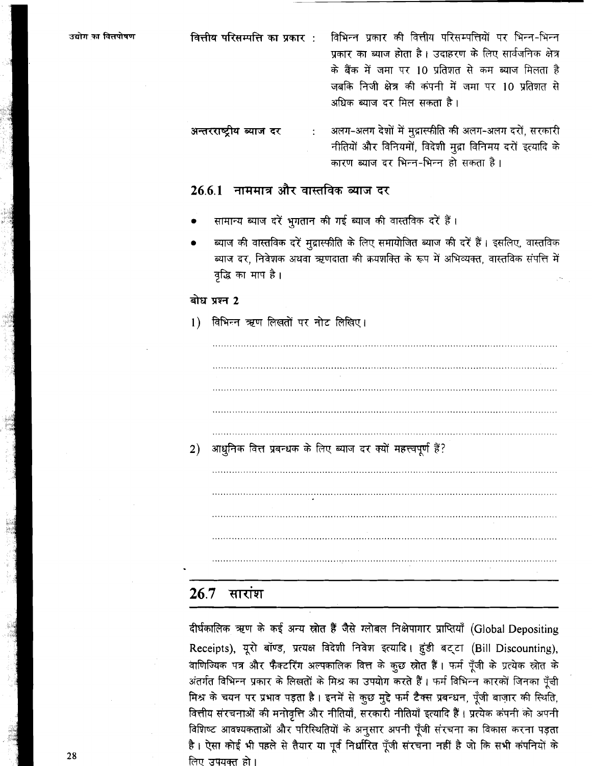उद्योग का वित्तपोषण वित्तीय परिसम्पत्ति का प्रकार : विभिन्न प्रकार की वित्तीय परिसम्पत्तियों पर भिन्न-भिन्न प्रकार का ब्याज होता है। उदाहरण के लिए सार्वजनिक क्षेत्र के बैंक में जमा पर 10 प्रतिशत से कम ब्याज मिलता है जबकि निजी क्षेत्र की कंपनी में जमा पर 10 प्रतिशत से अधिक ब्याज दर मिल सकता है।

अलग-अलग देशों में मुद्रास्फीति की अलग-अलग दरों, सरकारी अन्तरराष्ट्रीय ब्याज दर नीतियों और विनियमों, विदेशी मुद्रा विनिमय दरों इत्यादि के कारण ब्याज दर भिन्न-भिन्न हो सकता है।

### 26.6.1 नाममात्र और वास्तविक ब्याज दर

- सामान्य ब्याज दरें भुगतान की गई ब्याज की वास्तविक दरें हैं।
- ब्याज की वास्तविक दरें मुद्रास्फीति के लिए समायोजित ब्याज की दरें हैं। इसलिए, वास्तविक ब्याज दर, निवेशक अथवा ऋणदाता की क्रयशक्ति के रूप में अभिव्यक्त, वास्तविक संपत्ति में वृद्धि का माप है।

### बोध प्रश्न 2

#### विभिन्न ऋण लिखतों पर नोट लिखिए।  $\left| \right|$

आधुनिक वित्त प्रबन्धक के लिए ब्याज दर क्यों महत्त्वपूर्ण हैं?  $2)$ 

#### $26.7$ सारांश

दीर्घकालिक ऋण के कई अन्य स्रोत हैं जैसे ग्लोबल निक्षेपागार प्राप्तियाँ (Global Depositing Receipts), यूरो बॉण्ड, प्रत्यक्ष विदेशी निवेश इत्यादि। हुंडी बट्टा (Bill Discounting), वाणिज्यिक पत्र और फैक्टरिंग अल्पकालिक वित्त के कुछ स्रोत हैं। फर्म पूँजी के प्रत्येक स्रोत के अंतर्गत विभिन्न प्रकार के लिखतों के मिश्र का उपयोग करते हैं। फर्म विभिन्न कारकों जिनका पूँजी मिश्र के चयन पर प्रभाव पड़ता है। इनमें से कुछ मुद्दे फर्म टैक्स प्रबन्धन, पूँजी बाज़ार की स्थिति, वित्तीय संरचनाओं की मनोवृत्ति और नीतियाँ, सरकारी नीतियाँ इत्यादि हैं। प्रत्येक कंपनी को अपनी विशिष्ट आवश्यकताओं और परिस्थितियों के अनुसार अपनी पूँजी संरचना का विकास करना पड़ता है। ऐसा कोई भी पहले से तैयार या पूर्व निर्धारित पूँजी संरचना नहीं है जो कि सभी कंपनियों के लिए उपयक्त हो।